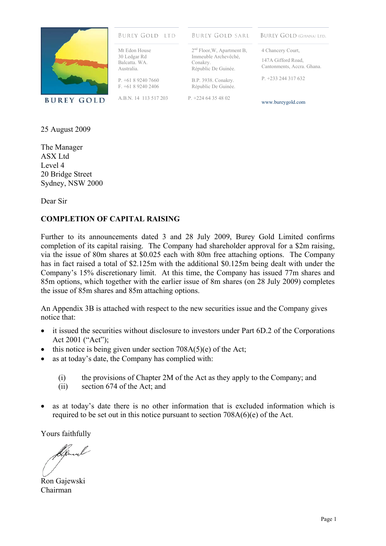

#### **BUREY GOLD LTD**

Mt Edon House 30 Ledgar Rd Balcatta. WA. Australia.

P. +61 8 9240 7660  $F + 61892402406$ 

A.B.N. 14 113 517 203

**BUREY GOLD SARL** 

2<sup>nd</sup> Floor, W, Apartment B, Immeuble Archevêché,

Républic De Guinée. B.P. 3938. Conakry. Républic De Guinée. P. +224 64 35 48 02

Conakry.

**BUREY GOLD (GHANA) LTD.** 

4 Chancery Court, 147A Gifford Road, Cantonments, Accra. Ghana.

P. +233 244 317 632

www.bureygold.com

25 August 2009

The Manager ASX Ltd Level 4 20 Bridge Street Sydney, NSW 2000

Dear Sir

#### **COMPLETION OF CAPITAL RAISING**

Further to its announcements dated 3 and 28 July 2009, Burey Gold Limited confirms completion of its capital raising. The Company had shareholder approval for a \$2m raising, via the issue of 80m shares at \$0.025 each with 80m free attaching options. The Company has in fact raised a total of \$2.125m with the additional \$0.125m being dealt with under the Company's 15% discretionary limit. At this time, the Company has issued 77m shares and 85m options, which together with the earlier issue of 8m shares (on 28 July 2009) completes the issue of 85m shares and 85m attaching options.

An Appendix 3B is attached with respect to the new securities issue and the Company gives notice that:

- it issued the securities without disclosure to investors under Part 6D.2 of the Corporations Act 2001 ("Act");
- this notice is being given under section  $708A(5)(e)$  of the Act;
- as at today's date, the Company has complied with:
	- (i) the provisions of Chapter 2M of the Act as they apply to the Company; and
	- (ii) section 674 of the Act; and
- as at today's date there is no other information that is excluded information which is required to be set out in this notice pursuant to section 708A(6)(e) of the Act.

Yours faithfully

Ron Gajewski Chairman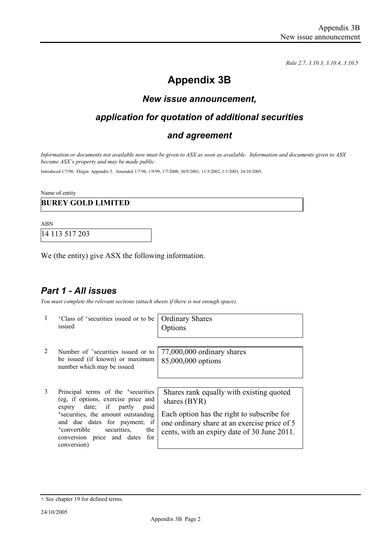*Rule 2.7, 3.10.3, 3.10.4, 3.10.5*

# **Appendix 3B**

## *New issue announcement,*

## *application for quotation of additional securities*

#### *and agreement*

*Information or documents not available now must be given to ASX as soon as available. Information and documents given to ASX become ASX's property and may be made public.* 

Introduced 1/7/96. Origin: Appendix 5. Amended 1/7/98, 1/9/99, 1/7/2000, 30/9/2001, 11/3/2002, 1/1/2003, 24/10/2005.

Name of entity

#### **BUREY GOLD LIMITED**

ABN

14 113 517 203

We (the entity) give ASX the following information.

## *Part 1 - All issues*

*You must complete the relevant sections (attach sheets if there is not enough space).*

| $\mathbf{1}$ | <sup>+</sup> Class of <sup>+</sup> securities issued or to be<br>issued                                                                                                                                        | <b>Ordinary Shares</b><br>Options                                                                                                                      |
|--------------|----------------------------------------------------------------------------------------------------------------------------------------------------------------------------------------------------------------|--------------------------------------------------------------------------------------------------------------------------------------------------------|
| 2            | Number of <sup>+</sup> securities issued or to<br>be issued (if known) or maximum<br>number which may be issued                                                                                                | 77,000,000 ordinary shares<br>85,000,000 options                                                                                                       |
| 3            | Principal terms of the <sup>+</sup> securities<br>(eg, if options, exercise price and<br>date; if partly<br>expiry<br>paid<br><sup>+</sup> securities, the amount outstanding<br>and due dates for payment; if | Shares rank equally with existing quoted<br>shares (BYR)<br>Each option has the right to subscribe for<br>one ordinary share at an exercise price of 5 |
|              | <sup>+</sup> convertible<br>securities,<br>the<br>conversion price and dates<br>for                                                                                                                            | cents, with an expiry date of 30 June 2011.                                                                                                            |

conversion)

<sup>+</sup> See chapter 19 for defined terms.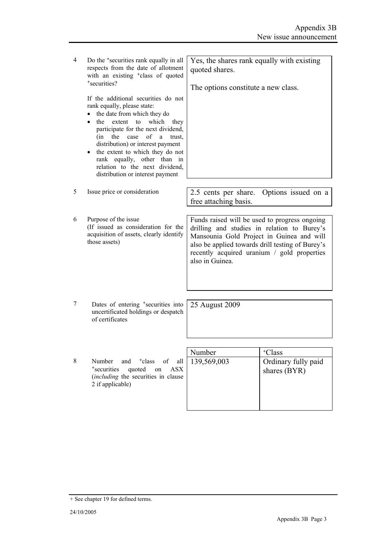4 Do the <sup>+</sup>securities rank equally in all respects from the date of allotment with an existing <sup>+</sup>class of quoted <sup>+</sup>securities?

> If the additional securities do not rank equally, please state:

- the date from which they do
- the extent to which they participate for the next dividend, (in the case of a trust, distribution) or interest payment
- the extent to which they do not rank equally, other than in relation to the next dividend, distribution or interest payment

6 Purpose of the issue (If issued as consideration for the acquisition of assets, clearly identify those assets)

5 Issue price or consideration 2.5 cents per share. Options issued on a free attaching basis.

Yes, the shares rank equally with existing

The options constitute a new class.

quoted shares.

Funds raised will be used to progress ongoing drilling and studies in relation to Burey's Mansounia Gold Project in Guinea and will also be applied towards drill testing of Burey's recently acquired uranium / gold properties also in Guinea.

7 Dates of entering <sup>+</sup>securities into uncertificated holdings or despatch of certificates

25 August 2009

|                                                                                                                                                                                | Number | <sup>+</sup> Class                    |
|--------------------------------------------------------------------------------------------------------------------------------------------------------------------------------|--------|---------------------------------------|
| 8<br>and $\frac{1}{2}$ telass of all   139,569,003<br>Number<br><sup>+</sup> securities<br>quoted on<br>ASX<br><i>(including the securities in clause)</i><br>2 if applicable) |        | Ordinary fully paid<br>shares $(BYR)$ |

<sup>+</sup> See chapter 19 for defined terms.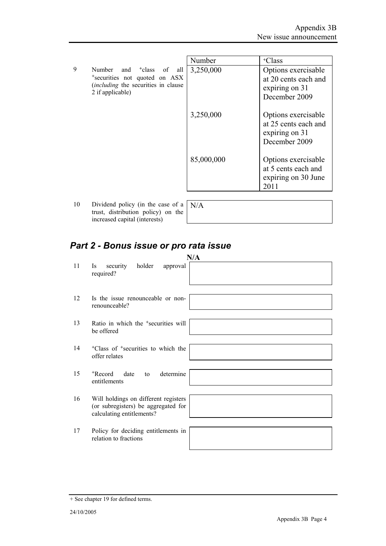|                |                                                                                                                                                            | Number     | <sup>+</sup> Class                                                             |
|----------------|------------------------------------------------------------------------------------------------------------------------------------------------------------|------------|--------------------------------------------------------------------------------|
| 9              | Number and <sup>+</sup> class<br>of<br>all<br><sup>+</sup> securities not quoted on ASX<br><i>(including the securities in clause)</i><br>2 if applicable) | 3,250,000  | Options exercisable<br>at 20 cents each and<br>expiring on 31<br>December 2009 |
|                |                                                                                                                                                            | 3,250,000  | Options exercisable<br>at 25 cents each and<br>expiring on 31<br>December 2009 |
|                |                                                                                                                                                            | 85,000,000 | Options exercisable<br>at 5 cents each and<br>expiring on 30 June<br>2011      |
| 1 <sub>0</sub> | Dividend notice (in the case of a $N^{1/4}$                                                                                                                |            |                                                                                |

10 Dividend policy (in the case of a  $N/A$ trust, distribution policy) on the increased capital (interests)

# *Part 2 - Bonus issue or pro rata issue*

| 11 | N/A<br>security<br>holder<br>Is.<br>approval<br>required?                                                |
|----|----------------------------------------------------------------------------------------------------------|
| 12 | Is the issue renounceable or non-<br>renounceable?                                                       |
| 13 | Ratio in which the <sup>+</sup> securities will<br>be offered                                            |
| 14 | <sup>+</sup> Class of <sup>+</sup> securities to which the<br>offer relates                              |
| 15 | determine<br><sup>+</sup> Record<br>date<br>to<br>entitlements                                           |
| 16 | Will holdings on different registers<br>(or subregisters) be aggregated for<br>calculating entitlements? |
| 17 | Policy for deciding entitlements in<br>relation to fractions                                             |

<sup>+</sup> See chapter 19 for defined terms.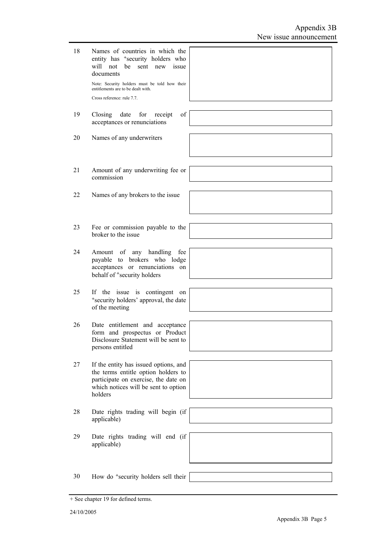| 18 | Names of countries in which the<br>entity has <sup>+</sup> security holders who<br>will not<br>be sent new issue<br>documents<br>Note: Security holders must be told how their<br>entitlements are to be dealt with.<br>Cross reference: rule 7.7. |  |
|----|----------------------------------------------------------------------------------------------------------------------------------------------------------------------------------------------------------------------------------------------------|--|
| 19 | of<br>Closing<br>date<br>for<br>receipt<br>acceptances or renunciations                                                                                                                                                                            |  |
| 20 | Names of any underwriters                                                                                                                                                                                                                          |  |
| 21 | Amount of any underwriting fee or<br>commission                                                                                                                                                                                                    |  |
| 22 | Names of any brokers to the issue                                                                                                                                                                                                                  |  |
| 23 | Fee or commission payable to the<br>broker to the issue                                                                                                                                                                                            |  |
| 24 | Amount of any handling fee<br>payable to brokers who lodge<br>acceptances or renunciations on<br>behalf of <sup>+</sup> security holders                                                                                                           |  |
| 25 | If the issue is contingent on<br>*security holders' approval, the date<br>of the meeting                                                                                                                                                           |  |
| 26 | Date entitlement and acceptance<br>form and prospectus or Product<br>Disclosure Statement will be sent to<br>persons entitled                                                                                                                      |  |
| 27 | If the entity has issued options, and<br>the terms entitle option holders to<br>participate on exercise, the date on<br>which notices will be sent to option<br>holders                                                                            |  |
| 28 | Date rights trading will begin (if<br>applicable)                                                                                                                                                                                                  |  |
| 29 | Date rights trading will end (if<br>applicable)                                                                                                                                                                                                    |  |
| 30 | How do <sup>+</sup> security holders sell their                                                                                                                                                                                                    |  |

<sup>+</sup> See chapter 19 for defined terms.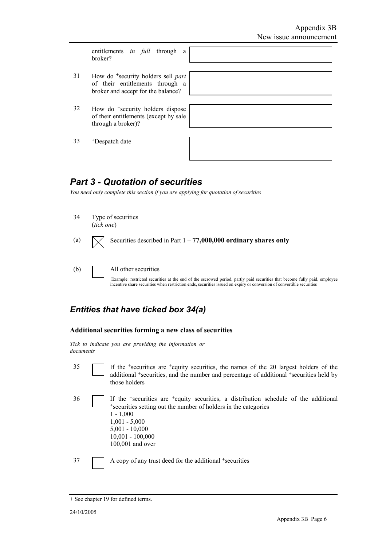entitlements *in full* through a broker?

- 31 How do <sup>+</sup>security holders sell *part* of their entitlements through a broker and accept for the balance?
- 32 How do <sup>+</sup>security holders dispose of their entitlements (except by sale through a broker)?

33 +Despatch date

## *Part 3 - Quotation of securities*

*You need only complete this section if you are applying for quotation of securities* 

- 34 Type of securities (*tick one*)
- (a)  $\sqrt{\phantom{a}}\!\!\sqrt{ }$  Securities described in Part 1 **77,000,000 ordinary shares only**
- (b) All other securities Example: restricted securities at the end of the escrowed period, partly paid securities that become fully paid, employee incentive share securities when restriction ends, securities issued on expiry or conversion of convertible securities

## *Entities that have ticked box 34(a)*



*Tick to indicate you are providing the information or documents*

35 If the +securities are +equity securities, the names of the 20 largest holders of the additional +securities, and the number and percentage of additional +securities held by those holders

36 If the +securities are +equity securities, a distribution schedule of the additional <sup>+</sup>securities setting out the number of holders in the categories 1 - 1,000 1,001 - 5,000 5,001 - 10,000 10,001 - 100,000 100,001 and over

37 A copy of any trust deed for the additional +securities

<sup>+</sup> See chapter 19 for defined terms.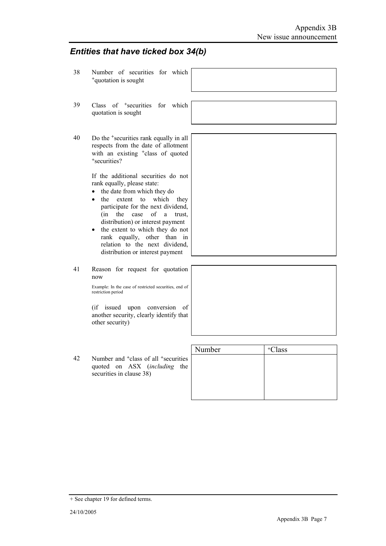#### *Entities that have ticked box 34(b)*

- 38 Number of securities for which <sup>+</sup>quotation is sought 39 Class of <sup>+</sup>securities for which quotation is sought 40 Do the <sup>+</sup>securities rank equally in all respects from the date of allotment with an existing <sup>+</sup>class of quoted <sup>+</sup>securities? If the additional securities do not rank equally, please state: • the date from which they do • the extent to which they participate for the next dividend, (in the case of a trust, distribution) or interest payment • the extent to which they do not rank equally, other than in relation to the next dividend, distribution or interest payment 41 Reason for request for quotation now Example: In the case of restricted securities, end of restriction period (if issued upon conversion of another security, clearly identify that other security) Number | +Class
- 42 Number and <sup>+</sup>class of all <sup>+</sup>securities quoted on ASX (*including* the securities in clause 38)

| Number | +Class |
|--------|--------|
|        |        |
|        |        |
|        |        |
|        |        |
|        |        |

<sup>+</sup> See chapter 19 for defined terms.